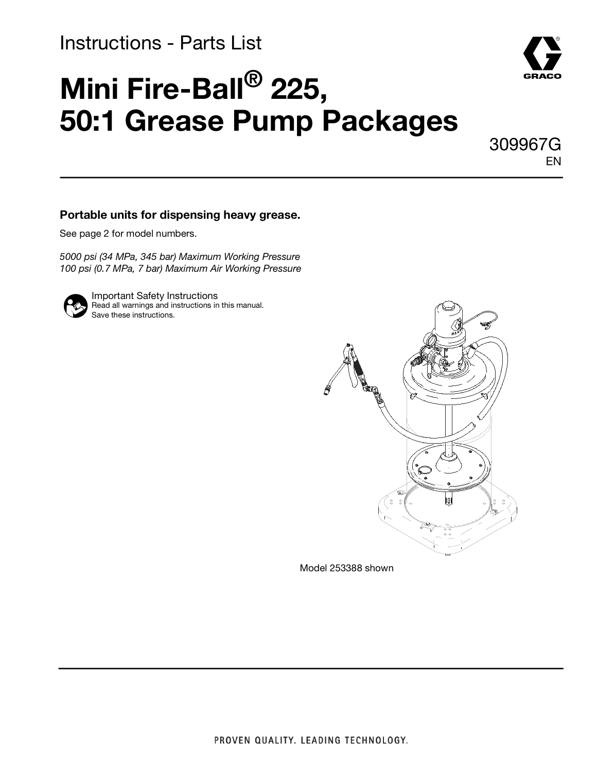## Instructions - Parts List

# **Mini Fire-Ball® 225, 50:1 Grease Pump Packages**

309967G EN

#### **Portable units for dispensing heavy grease.**

See page [2](#page-1-0) for model numbers.

5000 psi (34 MPa, 345 bar) Maximum Working Pressure 100 psi (0.7 MPa, 7 bar) Maximum Air Working Pressure



Important Safety Instructions Read all warnings and instructions in this manual. Save these instructions.



Model 253388 shown

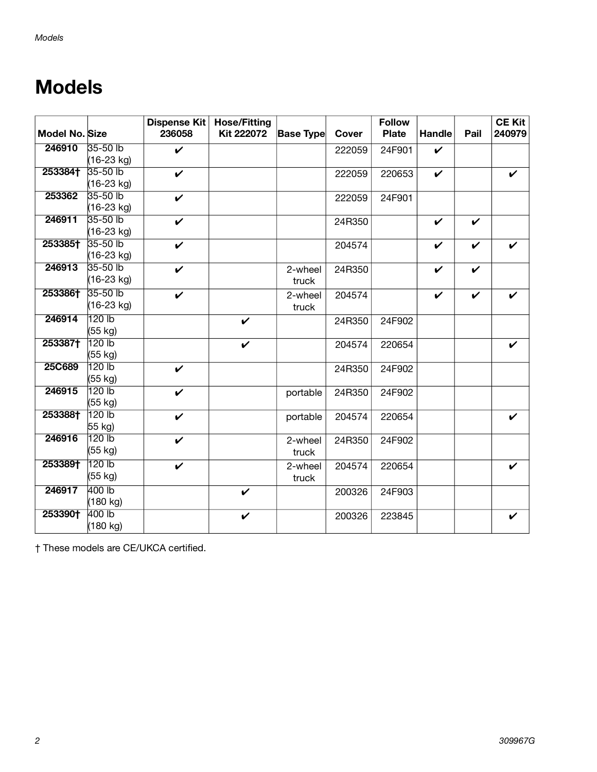## <span id="page-1-0"></span>**Models**

| <b>Model No. Size</b> |                   | <b>Dispense Kit</b><br>236058 | <b>Hose/Fitting</b><br><b>Kit 222072</b> | <b>Base Type</b> | <b>Cover</b> | <b>Follow</b><br><b>Plate</b> | Handle       | Pail               | <b>CE Kit</b><br>240979 |
|-----------------------|-------------------|-------------------------------|------------------------------------------|------------------|--------------|-------------------------------|--------------|--------------------|-------------------------|
| 246910                | 35-50 lb          | $\mathbf v$                   |                                          |                  | 222059       | 24F901                        | V            |                    |                         |
|                       | (16-23 kg)        |                               |                                          |                  |              |                               |              |                    |                         |
| 253384†               | 35-50 lb          | $\checkmark$                  |                                          |                  | 222059       | 220653                        | $\checkmark$ |                    | V                       |
|                       | (16-23 kg)        |                               |                                          |                  |              |                               |              |                    |                         |
| 253362                | 35-50 lb          | $\checkmark$                  |                                          |                  | 222059       | 24F901                        |              |                    |                         |
|                       | $(16-23$ kg)      |                               |                                          |                  |              |                               |              |                    |                         |
| 246911                | 35-50 lb          | V                             |                                          |                  | 24R350       |                               | V            | $\boldsymbol{\nu}$ |                         |
|                       | (16-23 kg)        |                               |                                          |                  |              |                               |              |                    |                         |
| 253385†               | 35-50 lb          | V                             |                                          |                  | 204574       |                               | ✓            | V                  |                         |
|                       | (16-23 kg)        |                               |                                          |                  |              |                               |              |                    |                         |
| 246913                | $35-50$ lb        | $\mathbf v$                   |                                          | 2-wheel          | 24R350       |                               | $\mathbf{v}$ | $\checkmark$       |                         |
|                       | (16-23 kg)        |                               |                                          | truck            |              |                               |              |                    |                         |
| 253386†               | 35-50 lb          | V                             |                                          | 2-wheel          | 204574       |                               | V            | V                  |                         |
|                       | (16-23 kg)        |                               |                                          | truck            |              |                               |              |                    |                         |
| 246914                | 120 lb            |                               | V                                        |                  | 24R350       | 24F902                        |              |                    |                         |
|                       | (55 kg)           |                               |                                          |                  |              |                               |              |                    |                         |
| 253387†               | 120 lb            |                               | $\checkmark$                             |                  | 204574       | 220654                        |              |                    |                         |
|                       | (55 kg)           |                               |                                          |                  |              |                               |              |                    |                         |
| 25C689                | 120 b             | ✓                             |                                          |                  | 24R350       | 24F902                        |              |                    |                         |
|                       | (55 kg)           |                               |                                          |                  |              |                               |              |                    |                         |
| 246915                | 120 <sub>lb</sub> | V                             |                                          | portable         | 24R350       | 24F902                        |              |                    |                         |
|                       | (55 kg)           |                               |                                          |                  |              |                               |              |                    |                         |
| 253388†               | 120 <sub>lb</sub> | V                             |                                          | portable         | 204574       | 220654                        |              |                    |                         |
|                       | 55 kg)            |                               |                                          |                  |              |                               |              |                    |                         |
| 246916                | 120 lb            | ✓                             |                                          | 2-wheel          | 24R350       | 24F902                        |              |                    |                         |
|                       | (55 kg)           |                               |                                          | truck            |              |                               |              |                    |                         |
| 253389†               | 120 lb            | $\boldsymbol{\nu}$            |                                          | 2-wheel          | 204574       | 220654                        |              |                    | ✓                       |
|                       | (55 kg)           |                               |                                          | truck            |              |                               |              |                    |                         |
| 246917                | 400 lb            |                               | V                                        |                  | 200326       | 24F903                        |              |                    |                         |
|                       | (180 kg)          |                               |                                          |                  |              |                               |              |                    |                         |
| 253390+               | 400 lb            |                               | $\checkmark$                             |                  | 200326       | 223845                        |              |                    | V                       |
|                       | (180 kg)          |                               |                                          |                  |              |                               |              |                    |                         |

† These models are CE/UKCA certified.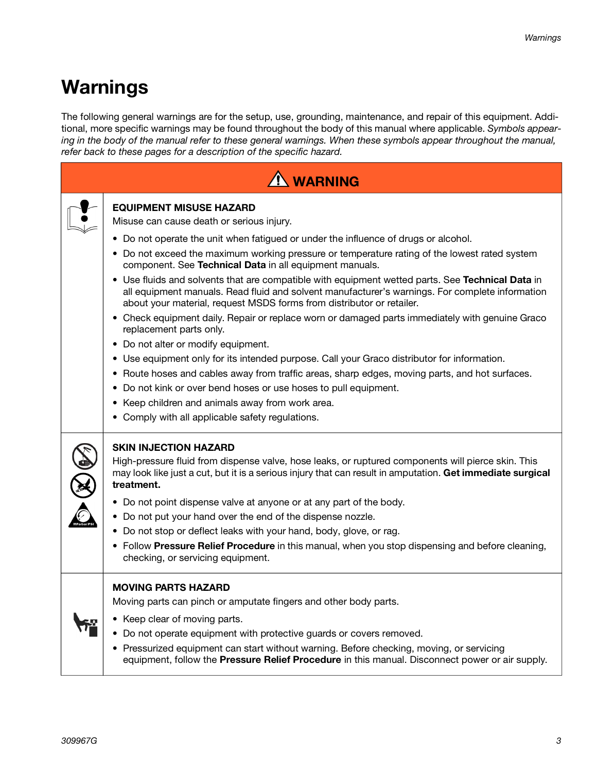## **Warnings**

The following general warnings are for the setup, use, grounding, maintenance, and repair of this equipment. Additional, more specific warnings may be found throughout the body of this manual where applicable. Symbols appearing in the body of the manual refer to these general warnings. When these symbols appear throughout the manual, refer back to these pages for a description of the specific hazard.

| <sup>1</sup> WARNING                                                                                                                                                                                                                                                                                                                                                                                                                                                                                                                                                                                                                                                                                                                                                                                                                                                                                                                                                                                                                                                                                                                                             |
|------------------------------------------------------------------------------------------------------------------------------------------------------------------------------------------------------------------------------------------------------------------------------------------------------------------------------------------------------------------------------------------------------------------------------------------------------------------------------------------------------------------------------------------------------------------------------------------------------------------------------------------------------------------------------------------------------------------------------------------------------------------------------------------------------------------------------------------------------------------------------------------------------------------------------------------------------------------------------------------------------------------------------------------------------------------------------------------------------------------------------------------------------------------|
| <b>EQUIPMENT MISUSE HAZARD</b><br>Misuse can cause death or serious injury.<br>• Do not operate the unit when fatigued or under the influence of drugs or alcohol.<br>• Do not exceed the maximum working pressure or temperature rating of the lowest rated system<br>component. See Technical Data in all equipment manuals.<br>• Use fluids and solvents that are compatible with equipment wetted parts. See Technical Data in<br>all equipment manuals. Read fluid and solvent manufacturer's warnings. For complete information<br>about your material, request MSDS forms from distributor or retailer.<br>• Check equipment daily. Repair or replace worn or damaged parts immediately with genuine Graco<br>replacement parts only.<br>• Do not alter or modify equipment.<br>• Use equipment only for its intended purpose. Call your Graco distributor for information.<br>• Route hoses and cables away from traffic areas, sharp edges, moving parts, and hot surfaces.<br>• Do not kink or over bend hoses or use hoses to pull equipment.<br>• Keep children and animals away from work area.<br>• Comply with all applicable safety regulations. |
| <b>SKIN INJECTION HAZARD</b><br>High-pressure fluid from dispense valve, hose leaks, or ruptured components will pierce skin. This<br>may look like just a cut, but it is a serious injury that can result in amputation. Get immediate surgical<br>treatment.<br>• Do not point dispense valve at anyone or at any part of the body.<br>• Do not put your hand over the end of the dispense nozzle.<br>• Do not stop or deflect leaks with your hand, body, glove, or rag.<br>• Follow Pressure Relief Procedure in this manual, when you stop dispensing and before cleaning,<br>checking, or servicing equipment.                                                                                                                                                                                                                                                                                                                                                                                                                                                                                                                                             |
| <b>MOVING PARTS HAZARD</b><br>Moving parts can pinch or amputate fingers and other body parts.<br>• Keep clear of moving parts.<br>• Do not operate equipment with protective guards or covers removed.<br>• Pressurized equipment can start without warning. Before checking, moving, or servicing<br>equipment, follow the Pressure Relief Procedure in this manual. Disconnect power or air supply.                                                                                                                                                                                                                                                                                                                                                                                                                                                                                                                                                                                                                                                                                                                                                           |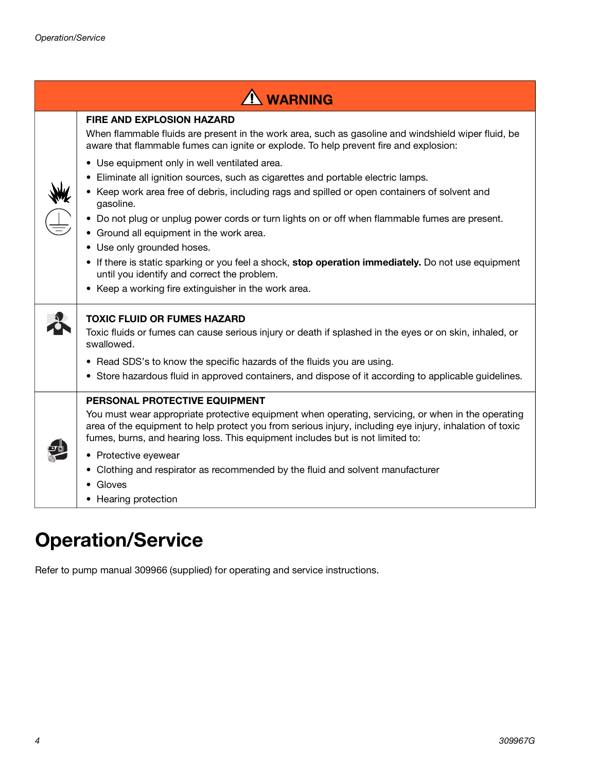| <b>NARNING</b>                                                                                                                                                                                                                                                                                                                                                                                                                                                                                                                                                                                                                                                                                                                                                                                                                                                             |
|----------------------------------------------------------------------------------------------------------------------------------------------------------------------------------------------------------------------------------------------------------------------------------------------------------------------------------------------------------------------------------------------------------------------------------------------------------------------------------------------------------------------------------------------------------------------------------------------------------------------------------------------------------------------------------------------------------------------------------------------------------------------------------------------------------------------------------------------------------------------------|
| <b>FIRE AND EXPLOSION HAZARD</b><br>When flammable fluids are present in the work area, such as gasoline and windshield wiper fluid, be<br>aware that flammable fumes can ignite or explode. To help prevent fire and explosion:<br>• Use equipment only in well ventilated area.<br>Eliminate all ignition sources, such as cigarettes and portable electric lamps.<br>Keep work area free of debris, including rags and spilled or open containers of solvent and<br>gasoline.<br>• Do not plug or unplug power cords or turn lights on or off when flammable fumes are present.<br>• Ground all equipment in the work area.<br>• Use only grounded hoses.<br>• If there is static sparking or you feel a shock, stop operation immediately. Do not use equipment<br>until you identify and correct the problem.<br>• Keep a working fire extinguisher in the work area. |
| <b>TOXIC FLUID OR FUMES HAZARD</b><br>Toxic fluids or fumes can cause serious injury or death if splashed in the eyes or on skin, inhaled, or<br>swallowed.<br>• Read SDS's to know the specific hazards of the fluids you are using.<br>• Store hazardous fluid in approved containers, and dispose of it according to applicable guidelines.                                                                                                                                                                                                                                                                                                                                                                                                                                                                                                                             |
| PERSONAL PROTECTIVE EQUIPMENT<br>You must wear appropriate protective equipment when operating, servicing, or when in the operating<br>area of the equipment to help protect you from serious injury, including eye injury, inhalation of toxic<br>fumes, burns, and hearing loss. This equipment includes but is not limited to:<br>• Protective eyewear<br>Clothing and respirator as recommended by the fluid and solvent manufacturer<br>• Gloves<br>Hearing protection                                                                                                                                                                                                                                                                                                                                                                                                |

## **Operation/Service**

Refer to pump manual 309966 (supplied) for operating and service instructions.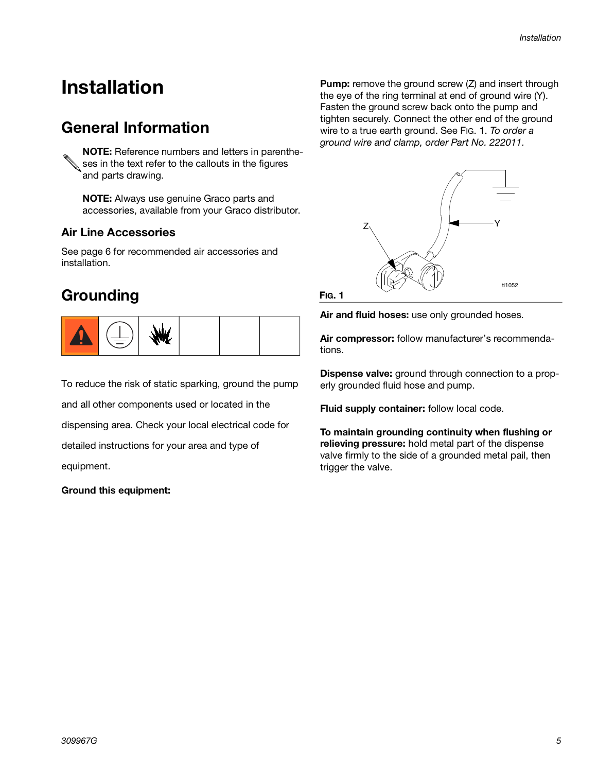## **Installation**

## **General Information**

**NOTE:** Reference numbers and letters in parenthe- $\&$  ses in the text refer to the callouts in the figures and parts drawing.

**NOTE:** Always use genuine Graco parts and accessories, available from your Graco distributor.

## **Air Line Accessories**

See page [6](#page-5-0) for recommended air accessories and installation.

## **Grounding**



To reduce the risk of static sparking, ground the pump and all other components used or located in the dispensing area. Check your local electrical code for detailed instructions for your area and type of equipment.

#### **Ground this equipment:**

**Pump:** remove the ground screw (Z) and insert through the eye of the ring terminal at end of ground wire (Y). Fasten the ground screw back onto the pump and tighten securely. Connect the other end of the ground wire to a true earth ground. See FIG. 1. To order a ground wire and clamp, order Part No. 222011.



**FIG. 1**

**Air and fluid hoses:** use only grounded hoses.

**Air compressor:** follow manufacturer's recommendations.

**Dispense valve:** ground through connection to a properly grounded fluid hose and pump.

**Fluid supply container:** follow local code.

**To maintain grounding continuity when flushing or relieving pressure:** hold metal part of the dispense valve firmly to the side of a grounded metal pail, then trigger the valve.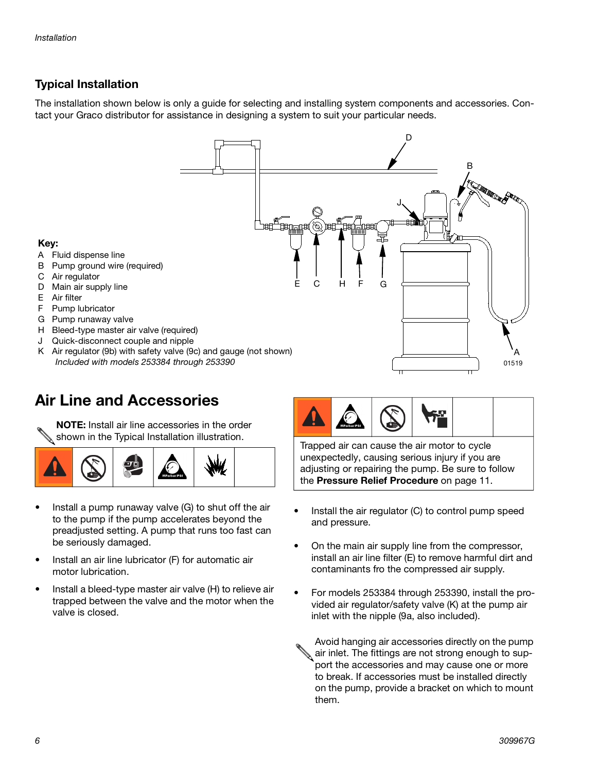## <span id="page-5-0"></span>**Typical Installation**

The installation shown below is only a guide for selecting and installing system components and accessories. Contact your Graco distributor for assistance in designing a system to suit your particular needs.

C

E

H F G

#### **Key:**

- A Fluid dispense line
- B Pump ground wire (required)
- C Air regulator
- D Main air supply line
- E Air filter
- F Pump lubricator
- G Pump runaway valve
- H Bleed-type master air valve (required)
- J Quick-disconnect couple and nipple
- K Air regulator (9b) with safety valve (9c) and gauge (not shown) Included with models 253384 through 253390

## **Air Line and Accessories**

**NOTE:** Install air line accessories in the order shown in the Typical Installation illustration.<br>Trapped air can cause the air motor to cycle



- Install a pump runaway valve (G) to shut off the air to the pump if the pump accelerates beyond the preadjusted setting. A pump that runs too fast can be seriously damaged.
- Install an air line lubricator (F) for automatic air motor lubrication.
- Install a bleed-type master air valve (H) to relieve air trapped between the valve and the motor when the valve is closed.



D

B

J

unexpectedly, causing serious injury if you are adjusting or repairing the pump. Be sure to follow the **Pressure Relief Procedure** on page [11.](#page-10-0)

- Install the air regulator (C) to control pump speed and pressure.
- On the main air supply line from the compressor, install an air line filter (E) to remove harmful dirt and contaminants fro the compressed air supply.
- For models 253384 through 253390, install the provided air regulator/safety valve (K) at the pump air inlet with the nipple (9a, also included).
	- Avoid hanging air accessories directly on the pump air inlet. The fittings are not strong enough to support the accessories and may cause one or more to break. If accessories must be installed directly on the pump, provide a bracket on which to mount them.

A

01519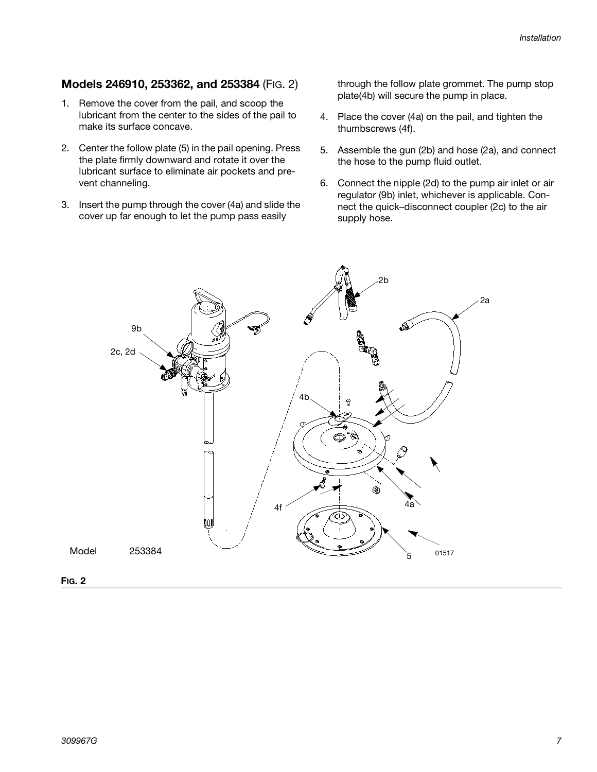### **Models 246910, 253362, and 253384** (FIG. 2)

- 1. Remove the cover from the pail, and scoop the lubricant from the center to the sides of the pail to make its surface concave.
- 2. Center the follow plate (5) in the pail opening. Press the plate firmly downward and rotate it over the lubricant surface to eliminate air pockets and prevent channeling.
- 3. Insert the pump through the cover (4a) and slide the cover up far enough to let the pump pass easily

through the follow plate grommet. The pump stop plate(4b) will secure the pump in place.

- 4. Place the cover (4a) on the pail, and tighten the thumbscrews (4f).
- 5. Assemble the gun (2b) and hose (2a), and connect the hose to the pump fluid outlet.
- 6. Connect the nipple (2d) to the pump air inlet or air regulator (9b) inlet, whichever is applicable. Connect the quick–disconnect coupler (2c) to the air supply hose.

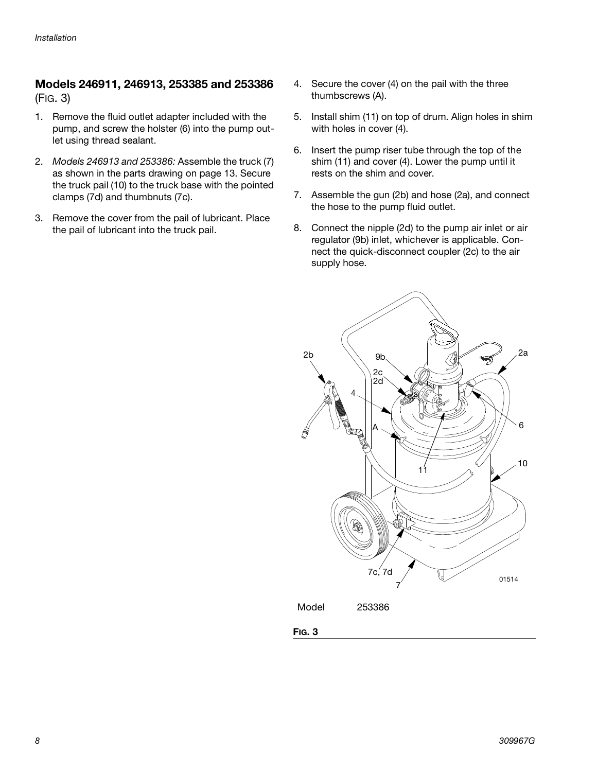### **Models 246911, 246913, 253385 and 253386**  [\(FIG. 3](#page-7-0))

- 1. Remove the fluid outlet adapter included with the pump, and screw the holster (6) into the pump outlet using thread sealant.
- 2. Models 246913 and 253386: Assemble the truck (7) as shown in the parts drawing on page [13.](#page-12-0) Secure the truck pail (10) to the truck base with the pointed clamps (7d) and thumbnuts (7c).
- 3. Remove the cover from the pail of lubricant. Place the pail of lubricant into the truck pail.
- 4. Secure the cover (4) on the pail with the three thumbscrews (A).
- 5. Install shim (11) on top of drum. Align holes in shim with holes in cover (4).
- 6. Insert the pump riser tube through the top of the shim (11) and cover (4). Lower the pump until it rests on the shim and cover.
- 7. Assemble the gun (2b) and hose (2a), and connect the hose to the pump fluid outlet.
- 8. Connect the nipple (2d) to the pump air inlet or air regulator (9b) inlet, whichever is applicable. Connect the quick-disconnect coupler (2c) to the air supply hose.

<span id="page-7-0"></span>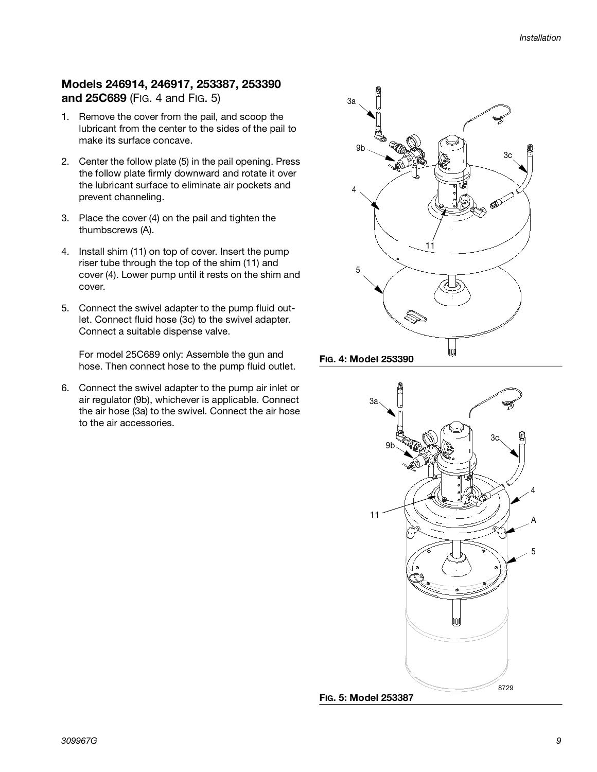### **Models 246914, 246917, 253387, 253390 and 25C689** (FIG. 4 and [FIG. 5](#page-8-0))

- 1. Remove the cover from the pail, and scoop the lubricant from the center to the sides of the pail to make its surface concave.
- 2. Center the follow plate (5) in the pail opening. Press the follow plate firmly downward and rotate it over the lubricant surface to eliminate air pockets and prevent channeling.
- 3. Place the cover (4) on the pail and tighten the thumbscrews (A).
- 4. Install shim (11) on top of cover. Insert the pump riser tube through the top of the shim (11) and cover (4). Lower pump until it rests on the shim and cover.
- 5. Connect the swivel adapter to the pump fluid outlet. Connect fluid hose (3c) to the swivel adapter. Connect a suitable dispense valve.

For model 25C689 only: Assemble the gun and hose. Then connect hose to the pump fluid outlet.

6. Connect the swivel adapter to the pump air inlet or air regulator (9b), whichever is applicable. Connect the air hose (3a) to the swivel. Connect the air hose to the air accessories.



### **FIG. 4: Model 253390**

<span id="page-8-0"></span>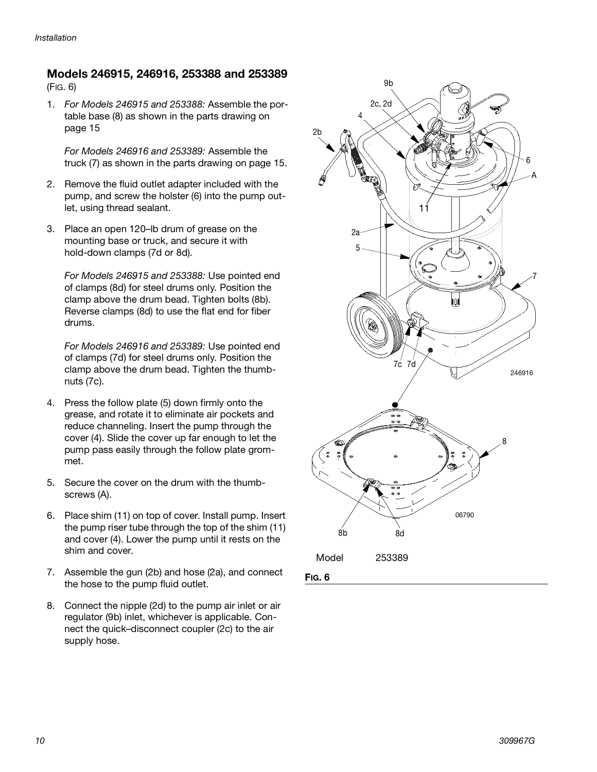## **Models 246915, 246916, 253388 and 253389**

([FIG. 6\)](#page-9-0)

1. For Models 246915 and 253388: Assemble the portable base (8) as shown in the parts drawing on page [15](#page-14-0)

For Models 246916 and 253389: Assemble the truck (7) as shown in the parts drawing on page [15.](#page-14-1)

- 2. Remove the fluid outlet adapter included with the pump, and screw the holster (6) into the pump outlet, using thread sealant.
- 3. Place an open 120–lb drum of grease on the mounting base or truck, and secure it with hold-down clamps (7d or 8d).

For Models 246915 and 253388: Use pointed end of clamps (8d) for steel drums only. Position the clamp above the drum bead. Tighten bolts (8b). Reverse clamps (8d) to use the flat end for fiber drums.

For Models 246916 and 253389: Use pointed end of clamps (7d) for steel drums only. Position the clamp above the drum bead. Tighten the thumbnuts (7c).

- 4. Press the follow plate (5) down firmly onto the grease, and rotate it to eliminate air pockets and reduce channeling. Insert the pump through the cover (4). Slide the cover up far enough to let the pump pass easily through the follow plate grommet.
- 5. Secure the cover on the drum with the thumbscrews (A).
- 6. Place shim (11) on top of cover. Install pump. Insert the pump riser tube through the top of the shim (11) and cover (4). Lower the pump until it rests on the shim and cover.
- <span id="page-9-0"></span>7. Assemble the gun (2b) and hose (2a), and connect the hose to the pump fluid outlet.
- 8. Connect the nipple (2d) to the pump air inlet or air regulator (9b) inlet, whichever is applicable. Connect the quick–disconnect coupler (2c) to the air supply hose.

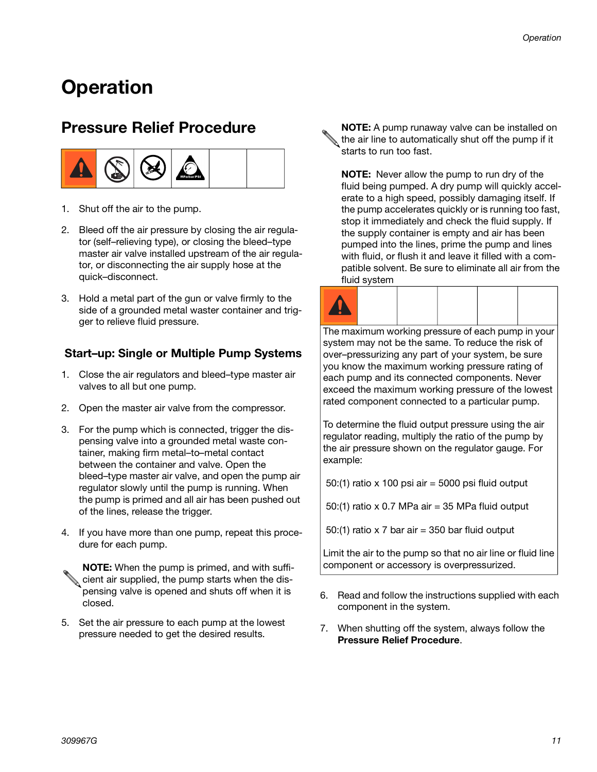## **Operation**

## <span id="page-10-0"></span>**Pressure Relief Procedure**



- 1. Shut off the air to the pump.
- 2. Bleed off the air pressure by closing the air regulator (self–relieving type), or closing the bleed–type master air valve installed upstream of the air regulator, or disconnecting the air supply hose at the quick–disconnect.
- 3. Hold a metal part of the gun or valve firmly to the side of a grounded metal waster container and trigger to relieve fluid pressure.

## **Start–up: Single or Multiple Pump Systems**

- 1. Close the air regulators and bleed–type master air valves to all but one pump.
- 2. Open the master air valve from the compressor.
- 3. For the pump which is connected, trigger the dispensing valve into a grounded metal waste container, making firm metal–to–metal contact between the container and valve. Open the bleed–type master air valve, and open the pump air regulator slowly until the pump is running. When the pump is primed and all air has been pushed out of the lines, release the trigger.
- 4. If you have more than one pump, repeat this procedure for each pump.

**NOTE:** When the pump is primed, and with sufficient air supplied, the pump starts when the dispensing valve is opened and shuts off when it is closed.

5. Set the air pressure to each pump at the lowest pressure needed to get the desired results.

**NOTE:** A pump runaway valve can be installed on the air line to automatically shut off the pump if it starts to run too fast.

**NOTE:** Never allow the pump to run dry of the fluid being pumped. A dry pump will quickly accelerate to a high speed, possibly damaging itself. If the pump accelerates quickly or is running too fast, stop it immediately and check the fluid supply. If the supply container is empty and air has been pumped into the lines, prime the pump and lines with fluid, or flush it and leave it filled with a compatible solvent. Be sure to eliminate all air from the fluid system



The maximum working pressure of each pump in your system may not be the same. To reduce the risk of over–pressurizing any part of your system, be sure you know the maximum working pressure rating of each pump and its connected components. Never exceed the maximum working pressure of the lowest rated component connected to a particular pump.

To determine the fluid output pressure using the air regulator reading, multiply the ratio of the pump by the air pressure shown on the regulator gauge. For example:

50:(1) ratio x 100 psi air = 5000 psi fluid output

50:(1) ratio x 0.7 MPa air = 35 MPa fluid output

50:(1) ratio x 7 bar air = 350 bar fluid output

Limit the air to the pump so that no air line or fluid line component or accessory is overpressurized.

- 6. Read and follow the instructions supplied with each component in the system.
- 7. When shutting off the system, always follow the **Pressure Relief Procedure**.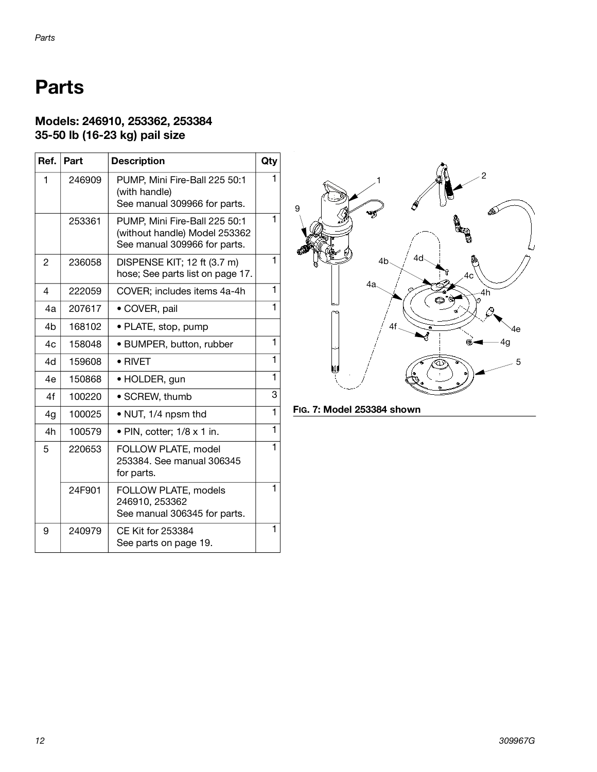## **Parts**

## **Models: 246910, 253362, 253384 35-50 lb (16-23 kg) pail size**

| Ref.           | Part   | <b>Description</b>                                                                             | Qty |
|----------------|--------|------------------------------------------------------------------------------------------------|-----|
| 1              | 246909 | PUMP, Mini Fire-Ball 225 50:1<br>(with handle)<br>See manual 309966 for parts.                 |     |
|                | 253361 | PUMP, Mini Fire-Ball 225 50:1<br>(without handle) Model 253362<br>See manual 309966 for parts. | 1   |
| 2              | 236058 | DISPENSE KIT; 12 ft (3.7 m)<br>hose; See parts list on page 17.                                | 1   |
| 4              | 222059 | COVER; includes items 4a-4h                                                                    | 1   |
| 4a             | 207617 | • COVER, pail                                                                                  | 1   |
| 4 <sub>b</sub> | 168102 | · PLATE, stop, pump                                                                            |     |
| 4c             | 158048 | • BUMPER, button, rubber                                                                       | 1   |
| 4d             | 159608 | $\bullet$ RIVET                                                                                | 1   |
| 4e             | 150868 | · HOLDER, gun                                                                                  | 1   |
| 4f             | 100220 | · SCREW, thumb                                                                                 | 3   |
| 4g             | 100025 | • NUT, 1/4 npsm thd                                                                            | 1   |
| 4h             | 100579 | · PIN, cotter; 1/8 x 1 in.                                                                     | 1   |
| 5              | 220653 | FOLLOW PLATE, model<br>253384. See manual 306345<br>for parts.                                 |     |
|                | 24F901 | FOLLOW PLATE, models<br>246910, 253362<br>See manual 306345 for parts.                         | 1   |
| 9              | 240979 | <b>CE Kit for 253384</b><br>See parts on page 19.                                              | 1   |



**FIG. 7: Model 253384 shown**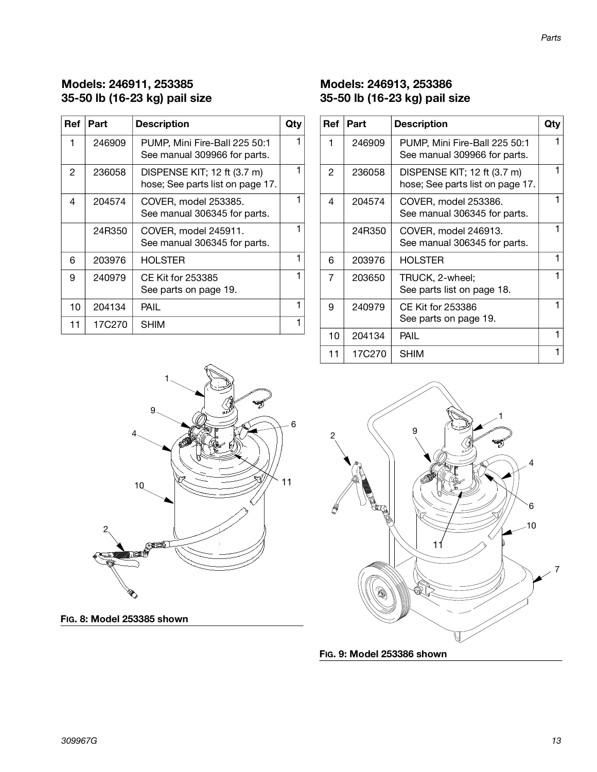## **Models: 246911, 253385 35-50 lb (16-23 kg) pail size**

| Ref | Part   | <b>Description</b>                                              | Qtv |
|-----|--------|-----------------------------------------------------------------|-----|
| 1   | 246909 | PUMP, Mini Fire-Ball 225 50:1<br>See manual 309966 for parts.   |     |
| 2   | 236058 | DISPENSE KIT; 12 ft (3.7 m)<br>hose; See parts list on page 17. |     |
| 4   | 204574 | COVER, model 253385.<br>See manual 306345 for parts.            |     |
|     | 24R350 | COVER, model 245911.<br>See manual 306345 for parts.            |     |
| 6   | 203976 | HOLSTER                                                         | 1   |
| 9   | 240979 | CE Kit for 253385<br>See parts on page 19.                      |     |
| 10  | 204134 | PAIL                                                            | 1   |
| 11  | 17C270 | SHIM                                                            |     |

## <span id="page-12-0"></span>**Models: 246913, 253386 35-50 lb (16-23 kg) pail size**

| <b>Ref</b> | Part   | <b>Description</b>                                              | Qty |
|------------|--------|-----------------------------------------------------------------|-----|
| 1          | 246909 | PUMP, Mini Fire-Ball 225 50:1<br>See manual 309966 for parts.   |     |
| 2          | 236058 | DISPENSE KIT; 12 ft (3.7 m)<br>hose; See parts list on page 17. | 1   |
| 4          | 204574 | COVER, model 253386.<br>See manual 306345 for parts.            |     |
|            | 24R350 | COVER, model 246913.<br>See manual 306345 for parts.            |     |
| 6          | 203976 | <b>HOLSTER</b>                                                  | 1   |
| 7          | 203650 | TRUCK, 2-wheel;<br>See parts list on page 18.                   | 1   |
| 9          | 240979 | CE Kit for 253386<br>See parts on page 19.                      | 1   |
| 10         | 204134 | PAIL                                                            |     |
| 11         | 17C270 | <b>SHIM</b>                                                     |     |



**FIG. 8: Model 253385 shown**

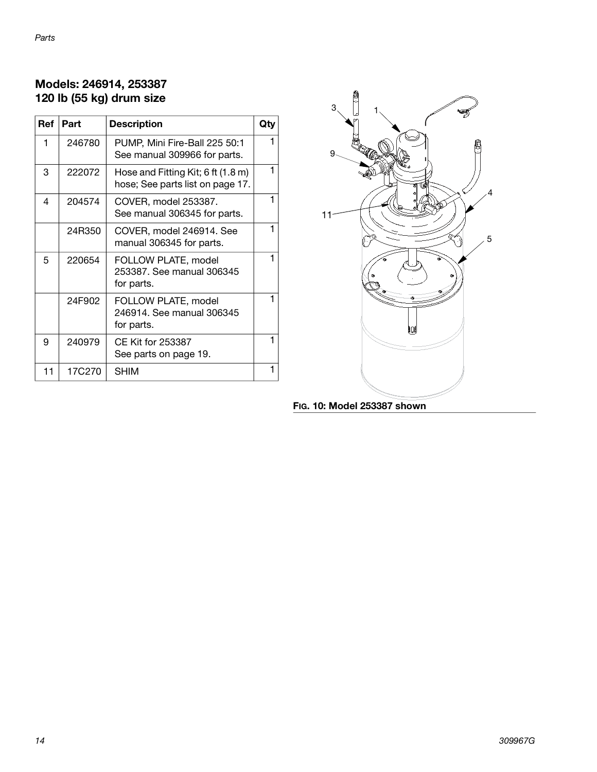## **Models: 246914, 253387 120 lb (55 kg) drum size**

| Ref | Part   | <b>Description</b>                                                     | Qtv |
|-----|--------|------------------------------------------------------------------------|-----|
| 1   | 246780 | PUMP, Mini Fire-Ball 225 50:1<br>See manual 309966 for parts.          |     |
| 3   | 222072 | Hose and Fitting Kit; 6 ft (1.8 m)<br>hose; See parts list on page 17. | 1   |
| 4   | 204574 | COVER, model 253387.<br>See manual 306345 for parts.                   |     |
|     | 24R350 | COVER, model 246914. See<br>manual 306345 for parts.                   |     |
| 5   | 220654 | FOLLOW PLATE, model<br>253387, See manual 306345<br>for parts.         |     |
|     | 24F902 | FOLLOW PLATE, model<br>246914, See manual 306345<br>for parts.         | 1   |
| 9   | 240979 | CE Kit for 253387<br>See parts on page 19.                             |     |
| 11  | 17C270 | SHIM                                                                   |     |



**FIG. 10: Model 253387 shown**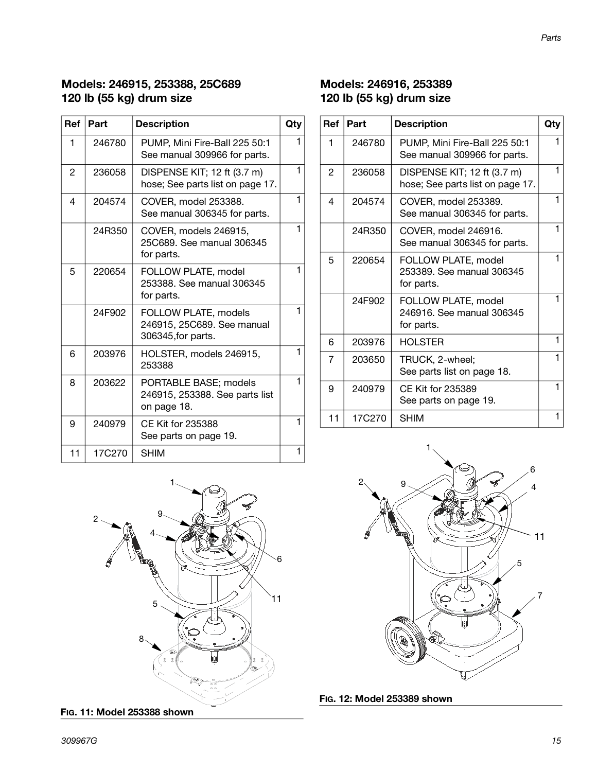## <span id="page-14-0"></span>**Models: 246915, 253388, 25C689 120 lb (55 kg) drum size**

| <b>Ref</b> | Part   | <b>Description</b>                                                       | Qty |
|------------|--------|--------------------------------------------------------------------------|-----|
| 1          | 246780 | PUMP, Mini Fire-Ball 225 50:1<br>See manual 309966 for parts.            |     |
| 2          | 236058 | DISPENSE KIT; 12 ft (3.7 m)<br>hose; See parts list on page 17.          | 1   |
| 4          | 204574 | COVER, model 253388.<br>See manual 306345 for parts.                     | 1   |
|            | 24R350 | COVER, models 246915,<br>25C689. See manual 306345<br>for parts.         | 1   |
| 5          | 220654 | FOLLOW PLATE, model<br>253388. See manual 306345<br>for parts.           | 1   |
|            | 24F902 | FOLLOW PLATE, models<br>246915, 25C689. See manual<br>306345, for parts. | 1   |
| 6          | 203976 | HOLSTER, models 246915,<br>253388                                        | 1   |
| 8          | 203622 | PORTABLE BASE; models<br>246915, 253388. See parts list<br>on page 18.   | 1   |
| 9          | 240979 | <b>CE Kit for 235388</b><br>See parts on page 19.                        | 1   |
| 11         | 17C270 | <b>SHIM</b>                                                              | 1   |



**FIG. 11: Model 253388 shown**

## <span id="page-14-1"></span>**Models: 246916, 253389 120 lb (55 kg) drum size**

| <b>Ref</b>     | Part   | <b>Description</b>                                              | Qty |
|----------------|--------|-----------------------------------------------------------------|-----|
| 1              | 246780 | PUMP, Mini Fire-Ball 225 50:1<br>See manual 309966 for parts.   | 1   |
| $\mathfrak{p}$ | 236058 | DISPENSE KIT; 12 ft (3.7 m)<br>hose; See parts list on page 17. | 1   |
| 4              | 204574 | COVER, model 253389.<br>See manual 306345 for parts.            | 1   |
|                | 24R350 | COVER, model 246916.<br>See manual 306345 for parts.            | 1   |
| 5              | 220654 | FOLLOW PLATE, model<br>253389, See manual 306345<br>for parts.  | 1   |
|                | 24F902 | FOLLOW PLATE, model<br>246916, See manual 306345<br>for parts.  | 1   |
| 6              | 203976 | <b>HOLSTER</b>                                                  | 1   |
| 7              | 203650 | TRUCK, 2-wheel;<br>See parts list on page 18.                   | 1   |
| 9              | 240979 | <b>CE Kit for 235389</b><br>See parts on page 19.               | 1   |
| 11             | 17C270 | <b>SHIM</b>                                                     | 1   |



**FIG. 12: Model 253389 shown**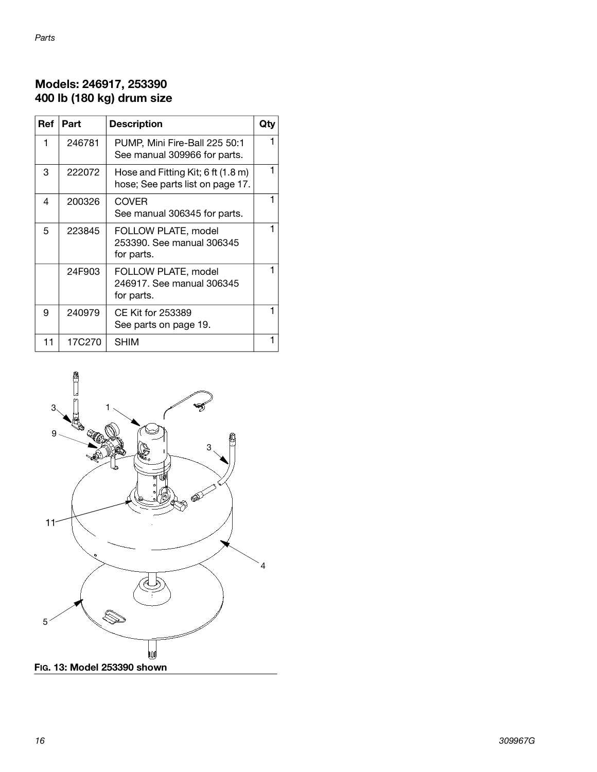## **Models: 246917, 253390 400 lb (180 kg) drum size**

| Ref | Part   | <b>Description</b>                                                     | Qtv |
|-----|--------|------------------------------------------------------------------------|-----|
| 1   | 246781 | PUMP, Mini Fire-Ball 225 50:1<br>See manual 309966 for parts.          |     |
| 3   | 222072 | Hose and Fitting Kit; 6 ft (1.8 m)<br>hose; See parts list on page 17. |     |
| 4   | 200326 | <b>COVER</b><br>See manual 306345 for parts.                           |     |
| 5   | 223845 | FOLLOW PLATE, model<br>253390. See manual 306345<br>for parts.         |     |
|     | 24F903 | FOLLOW PLATE, model<br>246917. See manual 306345<br>for parts.         |     |
| 9   | 240979 | CE Kit for 253389<br>See parts on page 19.                             |     |
| 11  | 17C270 | SHIM                                                                   |     |

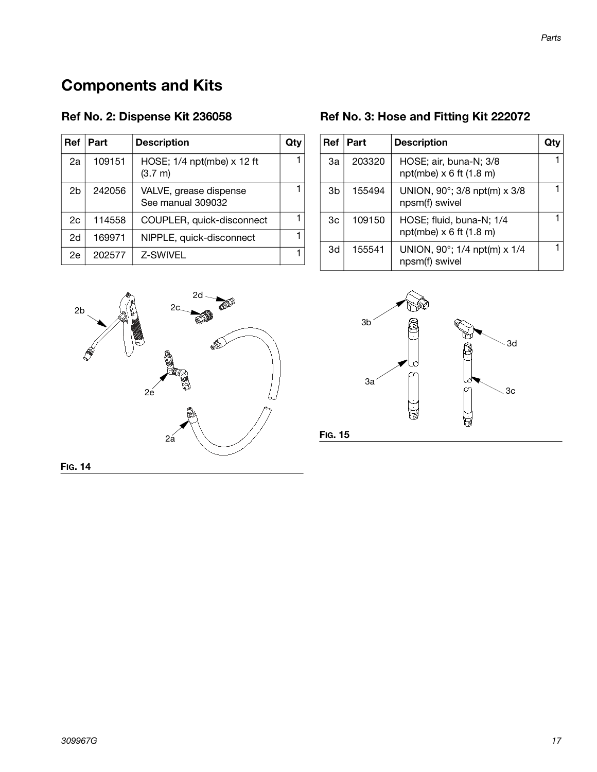## **Components and Kits**

| <b>Ref</b> | Part   | <b>Description</b>                          | Qtv |
|------------|--------|---------------------------------------------|-----|
| 2a         | 109151 | HOSE; 1/4 npt(mbe) x 12 ft<br>(3.7 m)       |     |
| 2b         | 242056 | VALVE, grease dispense<br>See manual 309032 |     |
| 2c         | 114558 | COUPLER, quick-disconnect                   |     |
| 2d         | 169971 | NIPPLE, quick-disconnect                    |     |
| 2e         | 202577 | Z-SWIVEL                                    |     |

## <span id="page-16-0"></span>**Ref No. 2: Dispense Kit 236058 Ref No. 3: Hose and Fitting Kit 222072**

<span id="page-16-1"></span>

| <b>Ref</b> | Part   | <b>Description</b>                                         |  |
|------------|--------|------------------------------------------------------------|--|
| За         | 203320 | HOSE; air, buna-N; 3/8<br>npt(mbe) $\times$ 6 ft (1.8 m)   |  |
| 3b         | 155494 | UNION, 90°; 3/8 npt(m) x 3/8<br>npsm(f) swivel             |  |
| 3c         | 109150 | HOSE; fluid, buna-N; 1/4<br>npt(mbe) $\times$ 6 ft (1.8 m) |  |
| 3d         | 155541 | UNION, 90°; 1/4 npt(m) x 1/4<br>npsm(f) swivel             |  |





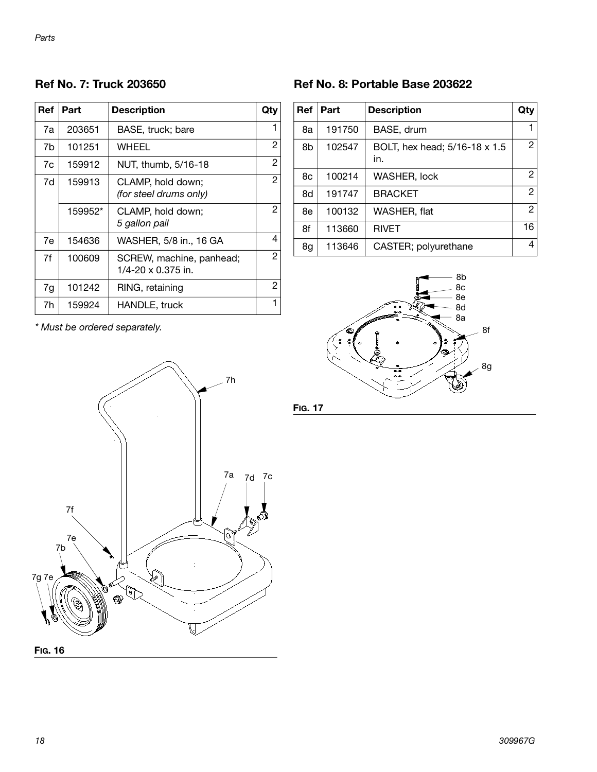<span id="page-17-0"></span>**Ref No. 7: Truck 203650**

| <b>Ref</b> | Part    | <b>Description</b>                             | Qty |
|------------|---------|------------------------------------------------|-----|
| 7a         | 203651  | BASE, truck; bare                              | 1   |
| 7b         | 101251  | WHEEL                                          | 2   |
| 7c         | 159912  | NUT, thumb, 5/16-18                            | 2   |
| 7d         | 159913  | CLAMP, hold down;<br>(for steel drums only)    | 2   |
|            | 159952* | CLAMP, hold down;<br>5 gallon pail             | 2   |
| 7e         | 154636  | WASHER, 5/8 in., 16 GA                         | 4   |
| 7f         | 100609  | SCREW, machine, panhead;<br>1/4-20 x 0.375 in. | 2   |
| 7g         | 101242  | RING, retaining                                | 2   |
| 7h         | 159924  | HANDLE, truck                                  |     |

#### <span id="page-17-1"></span>**Ref No. 8: Portable Base 203622**

| Ref | Part   | <b>Description</b>                   | Qty            |
|-----|--------|--------------------------------------|----------------|
| 8a  | 191750 | BASE, drum                           | 1              |
| 8b  | 102547 | BOLT, hex head; 5/16-18 x 1.5<br>in. | 2              |
| 8c  | 100214 | WASHER, lock                         | 2              |
| 8d  | 191747 | <b>BRACKET</b>                       | $\overline{c}$ |
| 8e  | 100132 | WASHER, flat                         | $\overline{c}$ |
| 8f  | 113660 | <b>RIVET</b>                         | 16             |
| 8g  | 113646 | CASTER; polyurethane                 | 4              |



\* Must be ordered separately.



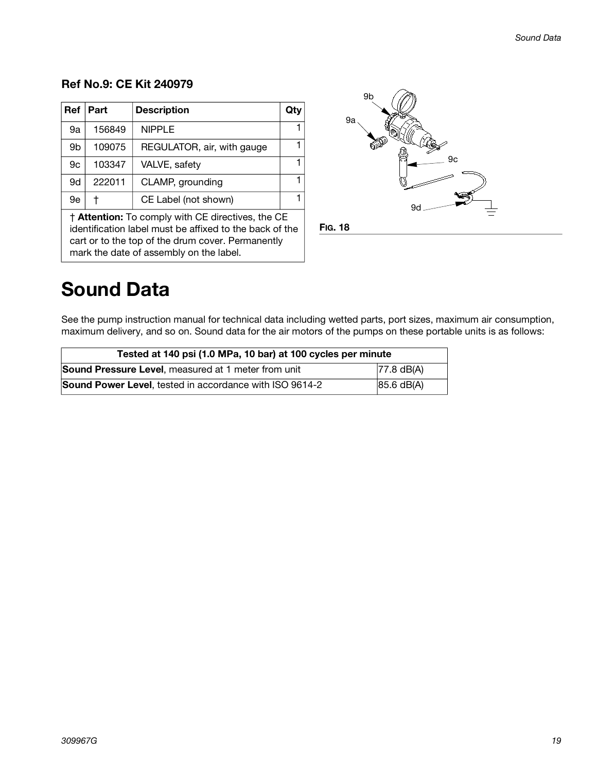### <span id="page-18-0"></span>**Ref No.9: CE Kit 240979**

| <b>Ref</b>                                        | Part   | <b>Description</b>         | Qtv |  |
|---------------------------------------------------|--------|----------------------------|-----|--|
| 9a                                                | 156849 | <b>NIPPLE</b>              |     |  |
| 9b                                                | 109075 | REGULATOR, air, with gauge |     |  |
| 9c                                                | 103347 | VALVE, safety              | 1   |  |
| 9d                                                | 222011 | CLAMP, grounding           | 1   |  |
| 9e                                                |        | CE Label (not shown)       |     |  |
| † Attention: To comply with CE directives, the CE |        |                            |     |  |

identification label must be affixed to the back of the cart or to the top of the drum cover. Permanently mark the date of assembly on the label.



## **Sound Data**

See the pump instruction manual for technical data including wetted parts, port sizes, maximum air consumption, maximum delivery, and so on. Sound data for the air motors of the pumps on these portable units is as follows:

| Tested at 140 psi (1.0 MPa, 10 bar) at 100 cycles per minute |                      |  |  |
|--------------------------------------------------------------|----------------------|--|--|
| Sound Pressure Level, measured at 1 meter from unit          | $77.8 \text{ dB}(A)$ |  |  |
| Sound Power Level, tested in accordance with ISO 9614-2      | 85.6 dB(A)           |  |  |